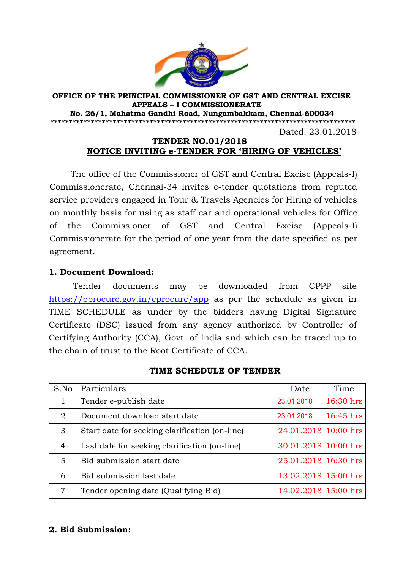

#### **OFFICE OF THE PRINCIPAL COMMISSIONER OF GST AND CENTRAL EXCISE APPEALS – I COMMISSIONERATE No. 26/1, Mahatma Gandhi Road, Nungambakkam, Chennai-600034 \*\*\*\*\*\*\*\*\*\*\*\*\*\*\*\*\*\*\*\*\*\*\*\*\*\*\*\*\*\*\*\*\*\*\*\*\*\*\*\*\*\*\*\*\*\*\*\*\*\*\*\*\*\*\*\*\*\*\*\*\*\*\*\*\*\*\*\*\*\*\*\*\*\*\*\*\*\*\*\*\*\*\*** Dated: 23.01.2018

#### **TENDER NO.01/2018 NOTICE INVITING e-TENDER FOR "HIRING OF VEHICLES"**

The office of the Commissioner of GST and Central Excise (Appeals-I) Commissionerate, Chennai-34 invites e-tender quotations from reputed service providers engaged in Tour & Travels Agencies for Hiring of vehicles on monthly basis for using as staff car and operational vehicles for Office of the Commissioner of GST and Central Excise (Appeals-I) Commissionerate for the period of one year from the date specified as per agreement.

### **1. Document Download:**

Tender documents may be downloaded from CPPP site https://eprocure.gov.in/eprocure/app as per the schedule as given in TIME SCHEDULE as under by the bidders having Digital Signature Certificate (DSC) issued from any agency authorized by Controller of Certifying Authority (CCA), Govt. of India and which can be traced up to the chain of trust to the Root Certificate of CCA.

| S.No           | Particulars                                    | Date                 | Time        |
|----------------|------------------------------------------------|----------------------|-------------|
|                | Tender e-publish date                          | 23.01.2018           | 16:30 hrs   |
| $\overline{2}$ | Document download start date                   | 23.01.2018           | $16:45$ hrs |
| 3              | Start date for seeking clarification (on-line) | 24.01.2018 10:00 hrs |             |
| $\overline{4}$ | Last date for seeking clarification (on-line)  | 30.01.2018 10:00 hrs |             |
| 5              | Bid submission start date                      | 25.01.2018 16:30 hrs |             |
| 6              | Bid submission last date                       | 13.02.2018 15:00 hrs |             |
| 7              | Tender opening date (Qualifying Bid)           | 14.02.2018 15:00 hrs |             |

#### **TIME SCHEDULE OF TENDER**

### **2. Bid Submission:**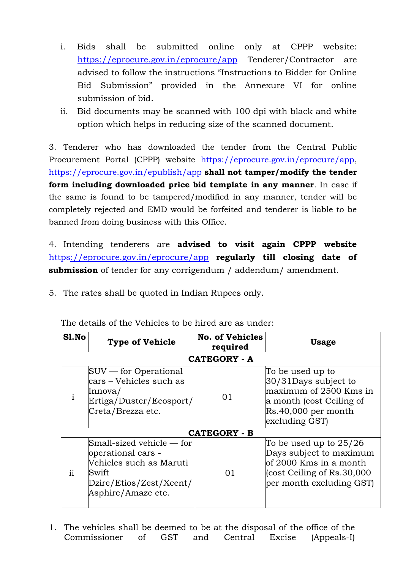- i. Bids shall be submitted online only at CPPP website: https://eprocure.gov.in/eprocure/app Tenderer/Contractor are advised to follow the instructions "Instructions to Bidder for Online Bid Submission" provided in the Annexure VI for online submission of bid.
- ii. Bid documents may be scanned with 100 dpi with black and white option which helps in reducing size of the scanned document.

3. Tenderer who has downloaded the tender from the Central Public Procurement Portal (CPPP) website https://eprocure.gov.in/eprocure/app, https://eprocure.gov.in/epublish/app **shall not tamper/modify the tender form including downloaded price bid template in any manner**. In case if the same is found to be tampered/modified in any manner, tender will be completely rejected and EMD would be forfeited and tenderer is liable to be banned from doing business with this Office.

4. Intending tenderers are **advised to visit again CPPP website** https://eprocure.gov.in/eprocure/app **regularly till closing date of submission** of tender for any corrigendum / addendum/ amendment.

5. The rates shall be quoted in Indian Rupees only.

| Sl.No         | <b>Type of Vehicle</b>                                                                                                                                        | <b>No. of Vehicles</b><br>required | <b>Usage</b>                                                                                                                              |  |  |
|---------------|---------------------------------------------------------------------------------------------------------------------------------------------------------------|------------------------------------|-------------------------------------------------------------------------------------------------------------------------------------------|--|--|
| CATEGORY - A  |                                                                                                                                                               |                                    |                                                                                                                                           |  |  |
|               | $SUV$ — for Operational<br> cars – Vehicles such as<br>Innova/<br>Ertiga/Duster/Ecosport/<br>Creta/Brezza etc.                                                | 01                                 | To be used up to<br>30/31Days subject to<br>maximum of 2500 Kms in<br>a month (cost Ceiling of<br>$Rs.40,000$ per month<br>excluding GST) |  |  |
|               |                                                                                                                                                               | CATEGORY - B                       |                                                                                                                                           |  |  |
| $\mathbf{ii}$ | $\mathbb{S}\text{mall}\text{-}sized$ vehicle — for<br>operational cars -<br>Vehicles such as Maruti<br>Swift<br>Dzire/Etios/Zest/Xcent/<br>Asphire/Amaze etc. | 01                                 | To be used up to $25/26$<br>Days subject to maximum<br>of 2000 Kms in a month<br>cost Ceiling of Rs.30,000<br>per month excluding GST)    |  |  |

The details of the Vehicles to be hired are as under:

1. The vehicles shall be deemed to be at the disposal of the office of the Commissioner of GST and Central Excise (Appeals-I)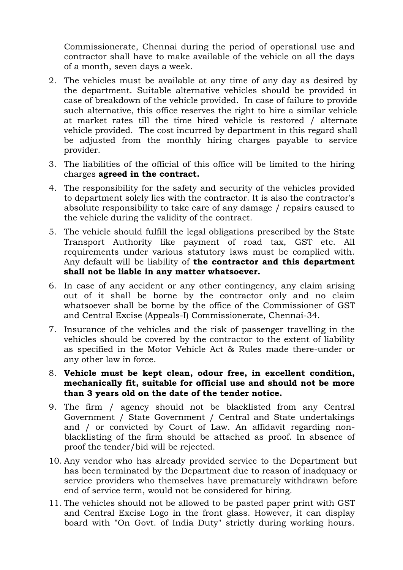Commissionerate, Chennai during the period of operational use and contractor shall have to make available of the vehicle on all the days of a month, seven days a week.

- 2. The vehicles must be available at any time of any day as desired by the department. Suitable alternative vehicles should be provided in case of breakdown of the vehicle provided. In case of failure to provide such alternative, this office reserves the right to hire a similar vehicle at market rates till the time hired vehicle is restored / alternate vehicle provided. The cost incurred by department in this regard shall be adjusted from the monthly hiring charges payable to service provider.
- 3. The liabilities of the official of this office will be limited to the hiring charges **agreed in the contract.**
- 4. The responsibility for the safety and security of the vehicles provided to department solely lies with the contractor. It is also the contractor's absolute responsibility to take care of any damage / repairs caused to the vehicle during the validity of the contract.
- 5. The vehicle should fulfill the legal obligations prescribed by the State Transport Authority like payment of road tax, GST etc. All requirements under various statutory laws must be complied with. Any default will be liability of **the contractor and this department shall not be liable in any matter whatsoever.**
- 6. In case of any accident or any other contingency, any claim arising out of it shall be borne by the contractor only and no claim whatsoever shall be borne by the office of the Commissioner of GST and Central Excise (Appeals-I) Commissionerate, Chennai-34.
- 7. Insurance of the vehicles and the risk of passenger travelling in the vehicles should be covered by the contractor to the extent of liability as specified in the Motor Vehicle Act & Rules made there-under or any other law in force.
- 8. **Vehicle must be kept clean, odour free, in excellent condition, mechanically fit, suitable for official use and should not be more than 3 years old on the date of the tender notice.**
- 9. The firm / agency should not be blacklisted from any Central Government / State Government / Central and State undertakings and / or convicted by Court of Law. An affidavit regarding nonblacklisting of the firm should be attached as proof. In absence of proof the tender/bid will be rejected.
- 10. Any vendor who has already provided service to the Department but has been terminated by the Department due to reason of inadquacy or service providers who themselves have prematurely withdrawn before end of service term, would not be considered for hiring.
- 11. The vehicles should not be allowed to be pasted paper print with GST and Central Excise Logo in the front glass. However, it can display board with "On Govt. of India Duty" strictly during working hours.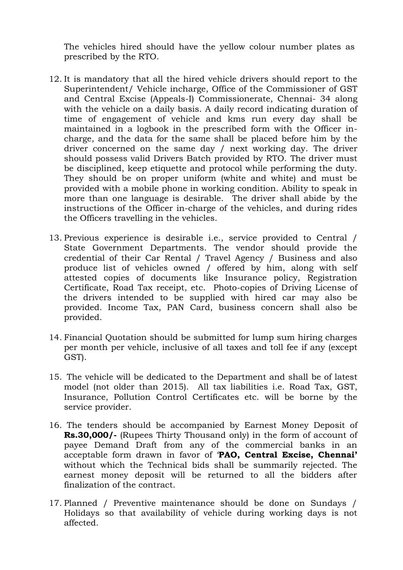The vehicles hired should have the yellow colour number plates as prescribed by the RTO.

- 12. It is mandatory that all the hired vehicle drivers should report to the Superintendent/ Vehicle incharge, Office of the Commissioner of GST and Central Excise (Appeals-I) Commissionerate, Chennai- 34 along with the vehicle on a daily basis. A daily record indicating duration of time of engagement of vehicle and kms run every day shall be maintained in a logbook in the prescribed form with the Officer incharge, and the data for the same shall be placed before him by the driver concerned on the same day / next working day. The driver should possess valid Drivers Batch provided by RTO. The driver must be disciplined, keep etiquette and protocol while performing the duty. They should be on proper uniform (white and white) and must be provided with a mobile phone in working condition. Ability to speak in more than one language is desirable. The driver shall abide by the instructions of the Officer in-charge of the vehicles, and during rides the Officers travelling in the vehicles.
- 13. Previous experience is desirable i.e., service provided to Central / State Government Departments. The vendor should provide the credential of their Car Rental / Travel Agency / Business and also produce list of vehicles owned / offered by him, along with self attested copies of documents like Insurance policy, Registration Certificate, Road Tax receipt, etc. Photo-copies of Driving License of the drivers intended to be supplied with hired car may also be provided. Income Tax, PAN Card, business concern shall also be provided.
- 14. Financial Quotation should be submitted for lump sum hiring charges per month per vehicle, inclusive of all taxes and toll fee if any (except GST).
- 15. The vehicle will be dedicated to the Department and shall be of latest model (not older than 2015). All tax liabilities i.e. Road Tax, GST, Insurance, Pollution Control Certificates etc. will be borne by the service provider.
- 16. The tenders should be accompanied by Earnest Money Deposit of **Rs.30,000/-** (Rupees Thirty Thousand only) in the form of account of payee Demand Draft from any of the commercial banks in an acceptable form drawn in favor of ‗**PAO, Central Excise, Chennai"** without which the Technical bids shall be summarily rejected. The earnest money deposit will be returned to all the bidders after finalization of the contract.
- 17. Planned / Preventive maintenance should be done on Sundays / Holidays so that availability of vehicle during working days is not affected.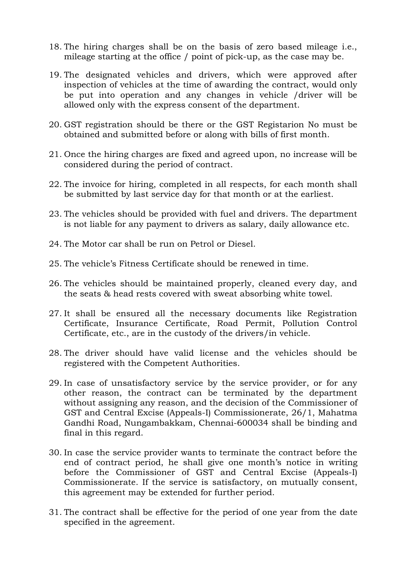- 18. The hiring charges shall be on the basis of zero based mileage i.e., mileage starting at the office / point of pick-up, as the case may be.
- 19. The designated vehicles and drivers, which were approved after inspection of vehicles at the time of awarding the contract, would only be put into operation and any changes in vehicle /driver will be allowed only with the express consent of the department.
- 20. GST registration should be there or the GST Registarion No must be obtained and submitted before or along with bills of first month.
- 21. Once the hiring charges are fixed and agreed upon, no increase will be considered during the period of contract.
- 22. The invoice for hiring, completed in all respects, for each month shall be submitted by last service day for that month or at the earliest.
- 23. The vehicles should be provided with fuel and drivers. The department is not liable for any payment to drivers as salary, daily allowance etc.
- 24. The Motor car shall be run on Petrol or Diesel.
- 25. The vehicle's Fitness Certificate should be renewed in time.
- 26. The vehicles should be maintained properly, cleaned every day, and the seats & head rests covered with sweat absorbing white towel.
- 27. It shall be ensured all the necessary documents like Registration Certificate, Insurance Certificate, Road Permit, Pollution Control Certificate, etc., are in the custody of the drivers/in vehicle.
- 28. The driver should have valid license and the vehicles should be registered with the Competent Authorities.
- 29. In case of unsatisfactory service by the service provider, or for any other reason, the contract can be terminated by the department without assigning any reason, and the decision of the Commissioner of GST and Central Excise (Appeals-I) Commissionerate, 26/1, Mahatma Gandhi Road, Nungambakkam, Chennai-600034 shall be binding and final in this regard.
- 30. In case the service provider wants to terminate the contract before the end of contract period, he shall give one month's notice in writing before the Commissioner of GST and Central Excise (Appeals-I) Commissionerate. If the service is satisfactory, on mutually consent, this agreement may be extended for further period.
- 31. The contract shall be effective for the period of one year from the date specified in the agreement.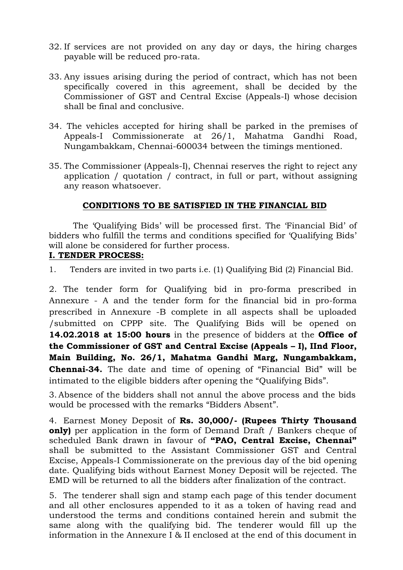- 32. If services are not provided on any day or days, the hiring charges payable will be reduced pro-rata.
- 33. Any issues arising during the period of contract, which has not been specifically covered in this agreement, shall be decided by the Commissioner of GST and Central Excise (Appeals-I) whose decision shall be final and conclusive.
- 34. The vehicles accepted for hiring shall be parked in the premises of Appeals-I Commissionerate at 26/1, Mahatma Gandhi Road, Nungambakkam, Chennai-600034 between the timings mentioned.
- 35. The Commissioner (Appeals-I), Chennai reserves the right to reject any application / quotation / contract, in full or part, without assigning any reason whatsoever.

### **CONDITIONS TO BE SATISFIED IN THE FINANCIAL BID**

The 'Qualifying Bids' will be processed first. The 'Financial Bid' of bidders who fulfill the terms and conditions specified for 'Qualifying Bids' will alone be considered for further process.

#### **I. TENDER PROCESS:**

1. Tenders are invited in two parts i.e. (1) Qualifying Bid (2) Financial Bid.

2. The tender form for Qualifying bid in pro-forma prescribed in Annexure - A and the tender form for the financial bid in pro-forma prescribed in Annexure -B complete in all aspects shall be uploaded /submitted on CPPP site. The Qualifying Bids will be opened on **14.02.2018 at 15:00 hours** in the presence of bidders at the **Office of the Commissioner of GST and Central Excise (Appeals – I), IInd Floor, Main Building, No. 26/1, Mahatma Gandhi Marg, Nungambakkam, Chennai-34.** The date and time of opening of "Financial Bid" will be intimated to the eligible bidders after opening the "Qualifying Bids".

3. Absence of the bidders shall not annul the above process and the bids would be processed with the remarks "Bidders Absent".

4. Earnest Money Deposit of **Rs. 30,000/- (Rupees Thirty Thousand only**) per application in the form of Demand Draft / Bankers cheque of scheduled Bank drawn in favour of **"PAO, Central Excise, Chennai"** shall be submitted to the Assistant Commissioner GST and Central Excise, Appeals-I Commissionerate on the previous day of the bid opening date. Qualifying bids without Earnest Money Deposit will be rejected. The EMD will be returned to all the bidders after finalization of the contract.

5. The tenderer shall sign and stamp each page of this tender document and all other enclosures appended to it as a token of having read and understood the terms and conditions contained herein and submit the same along with the qualifying bid. The tenderer would fill up the information in the Annexure I & II enclosed at the end of this document in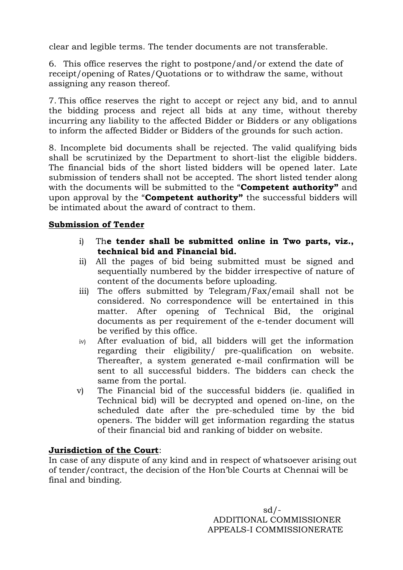clear and legible terms. The tender documents are not transferable.

6. This office reserves the right to postpone/and/or extend the date of receipt/opening of Rates/Quotations or to withdraw the same, without assigning any reason thereof.

7. This office reserves the right to accept or reject any bid, and to annul the bidding process and reject all bids at any time, without thereby incurring any liability to the affected Bidder or Bidders or any obligations to inform the affected Bidder or Bidders of the grounds for such action.

8. Incomplete bid documents shall be rejected. The valid qualifying bids shall be scrutinized by the Department to short-list the eligible bidders. The financial bids of the short listed bidders will be opened later. Late submission of tenders shall not be accepted. The short listed tender along with the documents will be submitted to the "**Competent authority**" and upon approval by the "**Competent authority**" the successful bidders will be intimated about the award of contract to them.

# **Submission of Tender**

- i) Th**e tender shall be submitted online in Two parts, viz., technical bid and Financial bid.**
- ii) All the pages of bid being submitted must be signed and sequentially numbered by the bidder irrespective of nature of content of the documents before uploading.
- iii) The offers submitted by Telegram/Fax/email shall not be considered. No correspondence will be entertained in this matter. After opening of Technical Bid, the original documents as per requirement of the e-tender document will be verified by this office.
- iv) After evaluation of bid, all bidders will get the information regarding their eligibility/ pre-qualification on website. Thereafter, a system generated e-mail confirmation will be sent to all successful bidders. The bidders can check the same from the portal.
- v) The Financial bid of the successful bidders (ie. qualified in Technical bid) will be decrypted and opened on-line, on the scheduled date after the pre-scheduled time by the bid openers. The bidder will get information regarding the status of their financial bid and ranking of bidder on website.

### **Jurisdiction of the Court**:

In case of any dispute of any kind and in respect of whatsoever arising out of tender/contract, the decision of the Hon'ble Courts at Chennai will be final and binding.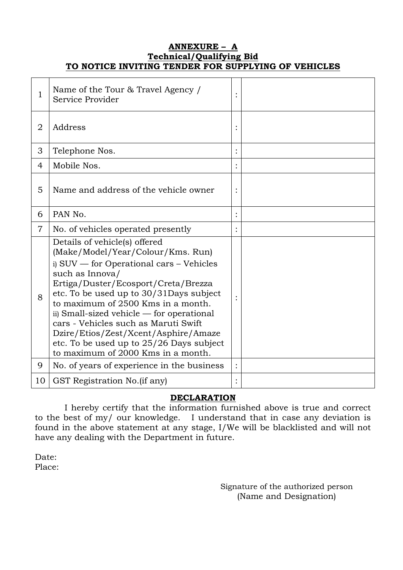### **ANNEXURE – A Technical/Qualifying Bid TO NOTICE INVITING TENDER FOR SUPPLYING OF VEHICLES**

| 1              | Name of the Tour & Travel Agency /<br>Service Provider                                                                                                                                                                                                                                                                                                                                                                                                                   |  |
|----------------|--------------------------------------------------------------------------------------------------------------------------------------------------------------------------------------------------------------------------------------------------------------------------------------------------------------------------------------------------------------------------------------------------------------------------------------------------------------------------|--|
| $\overline{2}$ | Address                                                                                                                                                                                                                                                                                                                                                                                                                                                                  |  |
| 3              | Telephone Nos.                                                                                                                                                                                                                                                                                                                                                                                                                                                           |  |
| $\overline{4}$ | Mobile Nos.                                                                                                                                                                                                                                                                                                                                                                                                                                                              |  |
| 5              | Name and address of the vehicle owner                                                                                                                                                                                                                                                                                                                                                                                                                                    |  |
| 6              | PAN No.                                                                                                                                                                                                                                                                                                                                                                                                                                                                  |  |
| 7              | No. of vehicles operated presently                                                                                                                                                                                                                                                                                                                                                                                                                                       |  |
| 8              | Details of vehicle(s) offered<br>(Make/Model/Year/Colour/Kms. Run)<br>i) SUV — for Operational cars – Vehicles<br>such as Innova/<br>Ertiga/Duster/Ecosport/Creta/Brezza<br>etc. To be used up to 30/31Days subject<br>to maximum of 2500 Kms in a month.<br>ii) Small-sized vehicle — for operational<br>cars - Vehicles such as Maruti Swift<br>Dzire/Etios/Zest/Xcent/Asphire/Amaze<br>etc. To be used up to 25/26 Days subject<br>to maximum of 2000 Kms in a month. |  |
| 9              | No. of years of experience in the business                                                                                                                                                                                                                                                                                                                                                                                                                               |  |
| 10             | GST Registration No. (if any)                                                                                                                                                                                                                                                                                                                                                                                                                                            |  |

# **DECLARATION**

 I hereby certify that the information furnished above is true and correct to the best of my/ our knowledge. I understand that in case any deviation is found in the above statement at any stage, I/We will be blacklisted and will not have any dealing with the Department in future.

Date: Place:

> Signature of the authorized person (Name and Designation)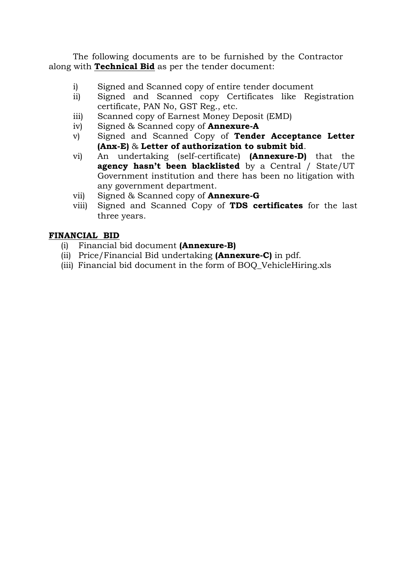The following documents are to be furnished by the Contractor along with **Technical Bid** as per the tender document:

- i) Signed and Scanned copy of entire tender document
- ii) Signed and Scanned copy Certificates like Registration certificate, PAN No, GST Reg., etc.
- iii) Scanned copy of Earnest Money Deposit (EMD)
- iv) Signed & Scanned copy of **Annexure-A**
- v) Signed and Scanned Copy of **Tender Acceptance Letter (Anx-E)** & **Letter of authorization to submit bid**.
- vi) An undertaking (self-certificate) **(Annexure-D)** that the **agency hasn"t been blacklisted** by a Central / State/UT Government institution and there has been no litigation with any government department.
- vii) Signed & Scanned copy of **Annexure-G**
- viii) Signed and Scanned Copy of **TDS certificates** for the last three years.

# **FINANCIAL BID**

- (i) Financial bid document **(Annexure-B)**
- (ii) Price/Financial Bid undertaking **(Annexure-C)** in pdf.
- (iii) Financial bid document in the form of BOQ\_VehicleHiring.xls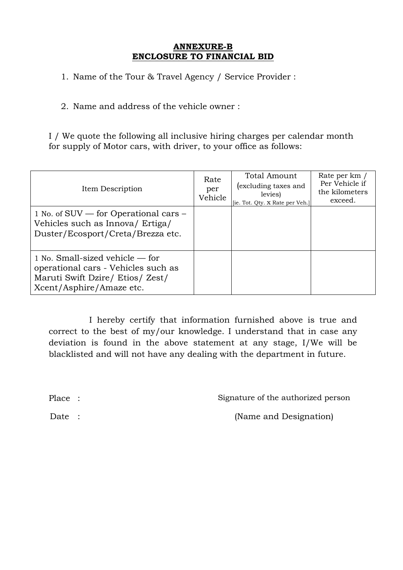#### **ANNEXURE-B ENCLOSURE TO FINANCIAL BID**

1. Name of the Tour & Travel Agency / Service Provider :

2. Name and address of the vehicle owner :

I / We quote the following all inclusive hiring charges per calendar month for supply of Motor cars, with driver, to your office as follows:

| Item Description                                                                                                                         | Rate<br>per<br>Vehicle | Total Amount<br>excluding taxes and<br>levies)<br>[ie. Tot. Qty. x Rate per Veh.] | Rate per km /<br>Per Vehicle if<br>the kilometers<br>exceed. |
|------------------------------------------------------------------------------------------------------------------------------------------|------------------------|-----------------------------------------------------------------------------------|--------------------------------------------------------------|
| 1 No. of SUV — for Operational cars –<br>Vehicles such as Innova/ Ertiga/<br>Duster/Ecosport/Creta/Brezza etc.                           |                        |                                                                                   |                                                              |
| 1 No. Small-sized vehicle $-$ for<br>operational cars - Vehicles such as<br>Maruti Swift Dzire/ Etios/ Zest/<br>Xcent/Asphire/Amaze etc. |                        |                                                                                   |                                                              |

 I hereby certify that information furnished above is true and correct to the best of my/our knowledge. I understand that in case any deviation is found in the above statement at any stage, I/We will be blacklisted and will not have any dealing with the department in future.

Place : Signature of the authorized person

Date : (Name and Designation)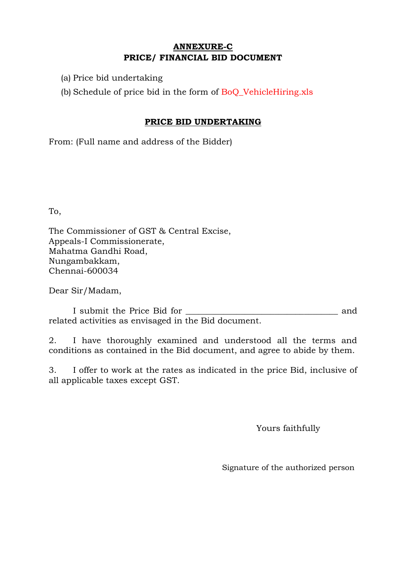# **ANNEXURE-C PRICE/ FINANCIAL BID DOCUMENT**

(a) Price bid undertaking

(b) Schedule of price bid in the form of BoQ\_VehicleHiring.xls

### **PRICE BID UNDERTAKING**

From: (Full name and address of the Bidder)

To,

The Commissioner of GST & Central Excise, Appeals-I Commissionerate, Mahatma Gandhi Road, Nungambakkam, Chennai-600034

Dear Sir/Madam,

I submit the Price Bid for \_\_\_\_\_\_\_\_\_\_\_\_\_\_\_\_\_\_\_\_\_\_\_\_\_\_\_\_\_\_\_\_\_\_\_\_ and related activities as envisaged in the Bid document.

2. I have thoroughly examined and understood all the terms and conditions as contained in the Bid document, and agree to abide by them.

3. I offer to work at the rates as indicated in the price Bid, inclusive of all applicable taxes except GST.

Yours faithfully

Signature of the authorized person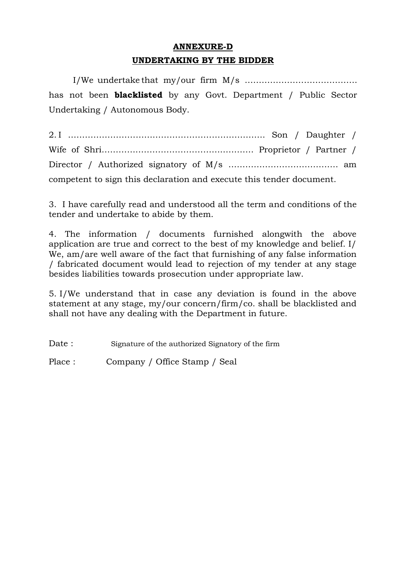# **ANNEXURE-D UNDERTAKING BY THE BIDDER**

I/We undertake that my/our firm M/s …………………………………. has not been **blacklisted** by any Govt. Department / Public Sector Undertaking / Autonomous Body.

2. I ……………………………………………………………. Son / Daughter / Wife of Shri……………………………………………… Proprietor / Partner / Director / Authorized signatory of M/s ………………………………… am competent to sign this declaration and execute this tender document.

3. I have carefully read and understood all the term and conditions of the tender and undertake to abide by them.

4. The information / documents furnished alongwith the above application are true and correct to the best of my knowledge and belief. I/ We, am/are well aware of the fact that furnishing of any false information / fabricated document would lead to rejection of my tender at any stage besides liabilities towards prosecution under appropriate law.

5. I/We understand that in case any deviation is found in the above statement at any stage, my/our concern/firm/co. shall be blacklisted and shall not have any dealing with the Department in future.

Date : Signature of the authorized Signatory of the firm

Place : Company / Office Stamp / Seal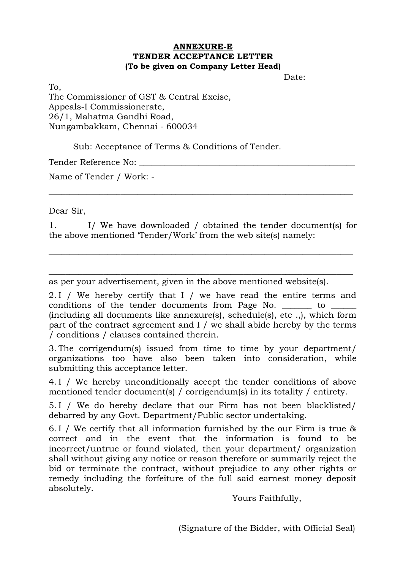#### **ANNEXURE-E TENDER ACCEPTANCE LETTER (To be given on Company Letter Head)**

Date:

To, The Commissioner of GST & Central Excise, Appeals-I Commissionerate, 26/1, Mahatma Gandhi Road, Nungambakkam, Chennai - 600034

Sub: Acceptance of Terms & Conditions of Tender.

Tender Reference No:

Name of Tender / Work: -

Dear Sir,

1. I/ We have downloaded / obtained the tender document(s) for the above mentioned 'Tender/Work' from the web site(s) namely:

 $\_$  ,  $\_$  ,  $\_$  ,  $\_$  ,  $\_$  ,  $\_$  ,  $\_$  ,  $\_$  ,  $\_$  ,  $\_$  ,  $\_$  ,  $\_$  ,  $\_$  ,  $\_$  ,  $\_$  ,  $\_$  ,  $\_$  ,  $\_$  ,  $\_$  ,  $\_$  ,  $\_$  ,  $\_$  ,  $\_$  ,  $\_$  ,  $\_$  ,  $\_$  ,  $\_$  ,  $\_$  ,  $\_$  ,  $\_$  ,  $\_$  ,  $\_$  ,  $\_$  ,  $\_$  ,  $\_$  ,  $\_$  ,  $\_$  ,

 $\_$  , and the contribution of the contribution of  $\overline{a}$  , and  $\overline{b}$  , and  $\overline{b}$  , and  $\overline{b}$  , and  $\overline{b}$  , and  $\overline{b}$  , and  $\overline{b}$  , and  $\overline{b}$  , and  $\overline{b}$  , and  $\overline{b}$  , and  $\overline{b}$  , and  $\overline{b$ 

 $\_$  , and the set of the set of the set of the set of the set of the set of the set of the set of the set of the set of the set of the set of the set of the set of the set of the set of the set of the set of the set of th

as per your advertisement, given in the above mentioned website(s).

2. I / We hereby certify that I / we have read the entire terms and conditions of the tender documents from Page No.  $\qquad \qquad$  to (including all documents like annexure(s), schedule(s), etc .,), which form part of the contract agreement and I / we shall abide hereby by the terms / conditions / clauses contained therein.

3. The corrigendum(s) issued from time to time by your department/ organizations too have also been taken into consideration, while submitting this acceptance letter.

4. I / We hereby unconditionally accept the tender conditions of above mentioned tender document(s) / corrigendum(s) in its totality / entirety.

5. I / We do hereby declare that our Firm has not been blacklisted/ debarred by any Govt. Department/Public sector undertaking.

6. I / We certify that all information furnished by the our Firm is true & correct and in the event that the information is found to be incorrect/untrue or found violated, then your department/ organization shall without giving any notice or reason therefore or summarily reject the bid or terminate the contract, without prejudice to any other rights or remedy including the forfeiture of the full said earnest money deposit absolutely.

Yours Faithfully,

(Signature of the Bidder, with Official Seal)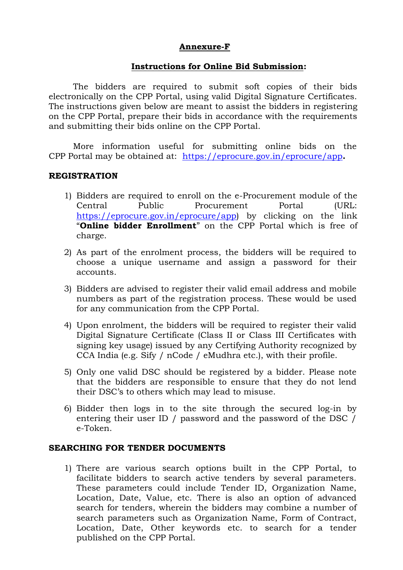### **Annexure-F**

#### **Instructions for Online Bid Submission:**

The bidders are required to submit soft copies of their bids electronically on the CPP Portal, using valid Digital Signature Certificates. The instructions given below are meant to assist the bidders in registering on the CPP Portal, prepare their bids in accordance with the requirements and submitting their bids online on the CPP Portal.

More information useful for submitting online bids on the CPP Portal may be obtained at: https://eprocure.gov.in/eprocure/app**.**

#### **REGISTRATION**

- 1) Bidders are required to enroll on the e-Procurement module of the Central Public Procurement Portal (URL: https://eprocure.gov.in/eprocure/app) by clicking on the link ―**Online bidder Enrollment**‖ on the CPP Portal which is free of charge.
- 2) As part of the enrolment process, the bidders will be required to choose a unique username and assign a password for their accounts.
- 3) Bidders are advised to register their valid email address and mobile numbers as part of the registration process. These would be used for any communication from the CPP Portal.
- 4) Upon enrolment, the bidders will be required to register their valid Digital Signature Certificate (Class II or Class III Certificates with signing key usage) issued by any Certifying Authority recognized by CCA India (e.g. Sify / nCode / eMudhra etc.), with their profile.
- 5) Only one valid DSC should be registered by a bidder. Please note that the bidders are responsible to ensure that they do not lend their DSC's to others which may lead to misuse.
- 6) Bidder then logs in to the site through the secured log-in by entering their user ID / password and the password of the DSC / e-Token.

#### **SEARCHING FOR TENDER DOCUMENTS**

1) There are various search options built in the CPP Portal, to facilitate bidders to search active tenders by several parameters. These parameters could include Tender ID, Organization Name, Location, Date, Value, etc. There is also an option of advanced search for tenders, wherein the bidders may combine a number of search parameters such as Organization Name, Form of Contract, Location, Date, Other keywords etc. to search for a tender published on the CPP Portal.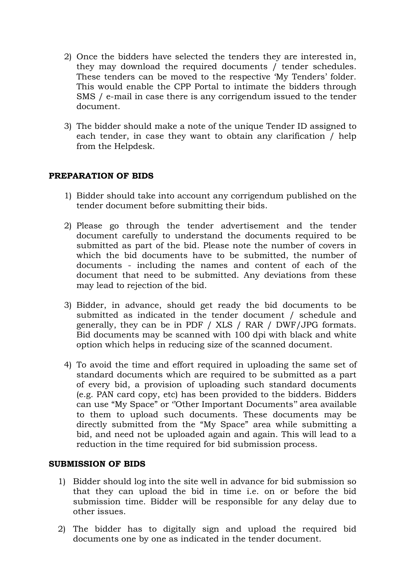- 2) Once the bidders have selected the tenders they are interested in, they may download the required documents / tender schedules. These tenders can be moved to the respective 'My Tenders' folder. This would enable the CPP Portal to intimate the bidders through SMS / e-mail in case there is any corrigendum issued to the tender document.
- 3) The bidder should make a note of the unique Tender ID assigned to each tender, in case they want to obtain any clarification / help from the Helpdesk.

### **PREPARATION OF BIDS**

- 1) Bidder should take into account any corrigendum published on the tender document before submitting their bids.
- 2) Please go through the tender advertisement and the tender document carefully to understand the documents required to be submitted as part of the bid. Please note the number of covers in which the bid documents have to be submitted, the number of documents - including the names and content of each of the document that need to be submitted. Any deviations from these may lead to rejection of the bid.
- 3) Bidder, in advance, should get ready the bid documents to be submitted as indicated in the tender document / schedule and generally, they can be in PDF / XLS / RAR / DWF/JPG formats. Bid documents may be scanned with 100 dpi with black and white option which helps in reducing size of the scanned document.
- 4) To avoid the time and effort required in uploading the same set of standard documents which are required to be submitted as a part of every bid, a provision of uploading such standard documents (e.g. PAN card copy, etc) has been provided to the bidders. Bidders can use "My Space" or "Other Important Documents" area available to them to upload such documents. These documents may be directly submitted from the "My Space" area while submitting a bid, and need not be uploaded again and again. This will lead to a reduction in the time required for bid submission process.

### **SUBMISSION OF BIDS**

- 1) Bidder should log into the site well in advance for bid submission so that they can upload the bid in time i.e. on or before the bid submission time. Bidder will be responsible for any delay due to other issues.
- 2) The bidder has to digitally sign and upload the required bid documents one by one as indicated in the tender document.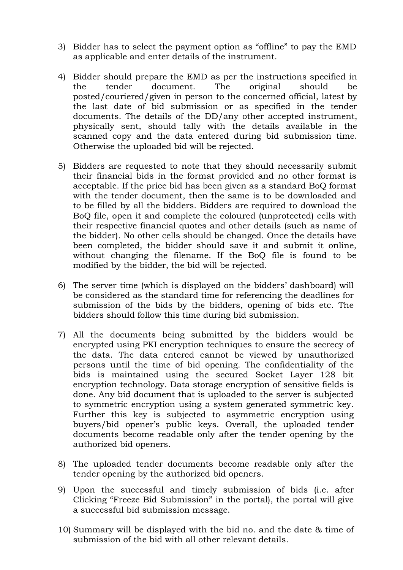- 3) Bidder has to select the payment option as "offline" to pay the EMD as applicable and enter details of the instrument.
- 4) Bidder should prepare the EMD as per the instructions specified in the tender document. The original should be posted/couriered/given in person to the concerned official, latest by the last date of bid submission or as specified in the tender documents. The details of the DD/any other accepted instrument, physically sent, should tally with the details available in the scanned copy and the data entered during bid submission time. Otherwise the uploaded bid will be rejected.
- 5) Bidders are requested to note that they should necessarily submit their financial bids in the format provided and no other format is acceptable. If the price bid has been given as a standard BoQ format with the tender document, then the same is to be downloaded and to be filled by all the bidders. Bidders are required to download the BoQ file, open it and complete the coloured (unprotected) cells with their respective financial quotes and other details (such as name of the bidder). No other cells should be changed. Once the details have been completed, the bidder should save it and submit it online, without changing the filename. If the BoQ file is found to be modified by the bidder, the bid will be rejected.
- 6) The server time (which is displayed on the bidders' dashboard) will be considered as the standard time for referencing the deadlines for submission of the bids by the bidders, opening of bids etc. The bidders should follow this time during bid submission.
- 7) All the documents being submitted by the bidders would be encrypted using PKI encryption techniques to ensure the secrecy of the data. The data entered cannot be viewed by unauthorized persons until the time of bid opening. The confidentiality of the bids is maintained using the secured Socket Layer 128 bit encryption technology. Data storage encryption of sensitive fields is done. Any bid document that is uploaded to the server is subjected to symmetric encryption using a system generated symmetric key. Further this key is subjected to asymmetric encryption using buyers/bid opener's public keys. Overall, the uploaded tender documents become readable only after the tender opening by the authorized bid openers.
- 8) The uploaded tender documents become readable only after the tender opening by the authorized bid openers.
- 9) Upon the successful and timely submission of bids (i.e. after Clicking "Freeze Bid Submission" in the portal), the portal will give a successful bid submission message.
- 10) Summary will be displayed with the bid no. and the date & time of submission of the bid with all other relevant details.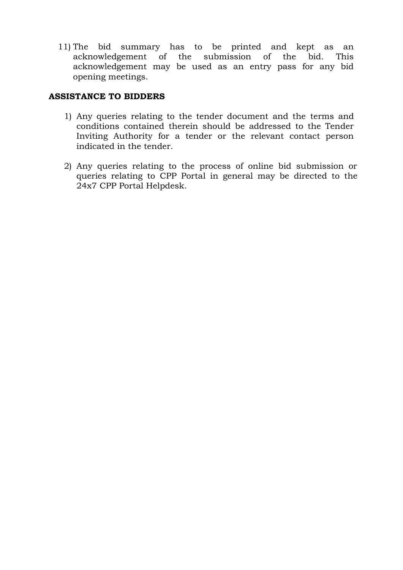11) The bid summary has to be printed and kept as an acknowledgement of the submission of the bid. This acknowledgement may be used as an entry pass for any bid opening meetings.

## **ASSISTANCE TO BIDDERS**

- 1) Any queries relating to the tender document and the terms and conditions contained therein should be addressed to the Tender Inviting Authority for a tender or the relevant contact person indicated in the tender.
- 2) Any queries relating to the process of online bid submission or queries relating to CPP Portal in general may be directed to the 24x7 CPP Portal Helpdesk.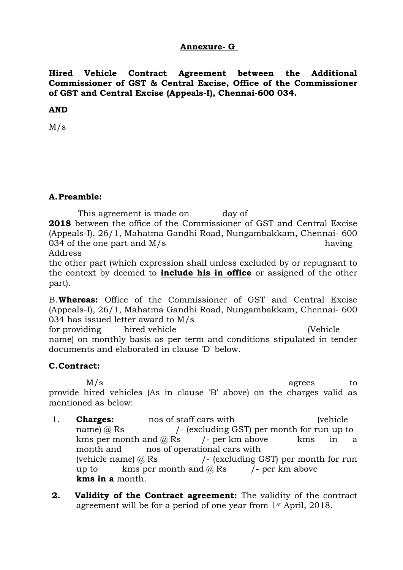## **Annexure- G**

**Hired Vehicle Contract Agreement between the Additional Commissioner of GST & Central Excise, Office of the Commissioner of GST and Central Excise (Appeals-I), Chennai-600 034.**

#### **AND**

M/s

### **A.Preamble:**

This agreement is made on day of **2018** between the office of the Commissioner of GST and Central Excise (Appeals-I), 26/1, Mahatma Gandhi Road, Nungambakkam, Chennai- 600  $034$  of the one part and M/s having Address

the other part (which expression shall unless excluded by or repugnant to the context by deemed to **include his in office** or assigned of the other part).

B.**Whereas:** Office of the Commissioner of GST and Central Excise (Appeals-I), 26/1, Mahatma Gandhi Road, Nungambakkam, Chennai- 600 034 has issued letter award to M/s

for providing hired vehicle (Vehicle name) on monthly basis as per term and conditions stipulated in tender documents and elaborated in clause 'D' below.

### **C.Contract:**

M/s agrees to provide hired vehicles (As in clause 'B' above) on the charges valid as mentioned as below:

- 1. **Charges:** nos of staff cars with (vehicle name) @ Rs /- (excluding GST) per month for run up to kms per month and  $\omega$  Rs (*l* - per km above kms in a month and nos of operational cars with (vehicle name)  $\omega$  Rs  $/$ - (excluding GST) per month for run up to kms per month and  $\omega$  Rs  $/$ - per km above **kms in a** month.
- **2. Validity of the Contract agreement:** The validity of the contract agreement will be for a period of one year from 1st April, 2018.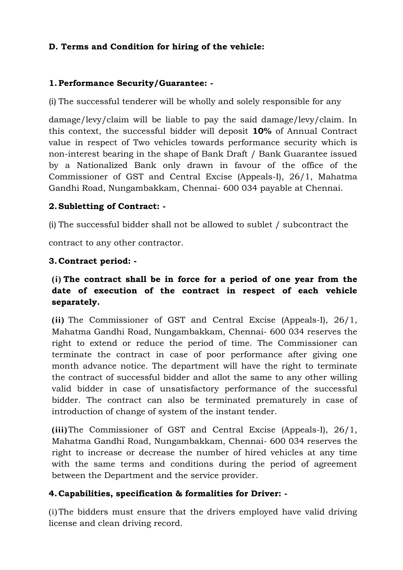# **D. Terms and Condition for hiring of the vehicle:**

# **1.Performance Security/Guarantee: -**

(i) The successful tenderer will be wholly and solely responsible for any

damage/levy/claim will be liable to pay the said damage/levy/claim. In this context, the successful bidder will deposit **10%** of Annual Contract value in respect of Two vehicles towards performance security which is non-interest bearing in the shape of Bank Draft / Bank Guarantee issued by a Nationalized Bank only drawn in favour of the office of the Commissioner of GST and Central Excise (Appeals-I), 26/1, Mahatma Gandhi Road, Nungambakkam, Chennai- 600 034 payable at Chennai.

# **2.Subletting of Contract: -**

(i) The successful bidder shall not be allowed to sublet / subcontract the

contract to any other contractor.

# **3. Contract period: -**

# **(i) The contract shall be in force for a period of one year from the date of execution of the contract in respect of each vehicle separately.**

**(ii)** The Commissioner of GST and Central Excise (Appeals-I), 26/1, Mahatma Gandhi Road, Nungambakkam, Chennai- 600 034 reserves the right to extend or reduce the period of time. The Commissioner can terminate the contract in case of poor performance after giving one month advance notice. The department will have the right to terminate the contract of successful bidder and allot the same to any other willing valid bidder in case of unsatisfactory performance of the successful bidder. The contract can also be terminated prematurely in case of introduction of change of system of the instant tender.

**(iii)**The Commissioner of GST and Central Excise (Appeals-I), 26/1, Mahatma Gandhi Road, Nungambakkam, Chennai- 600 034 reserves the right to increase or decrease the number of hired vehicles at any time with the same terms and conditions during the period of agreement between the Department and the service provider.

# **4. Capabilities, specification & formalities for Driver: -**

(i)The bidders must ensure that the drivers employed have valid driving license and clean driving record.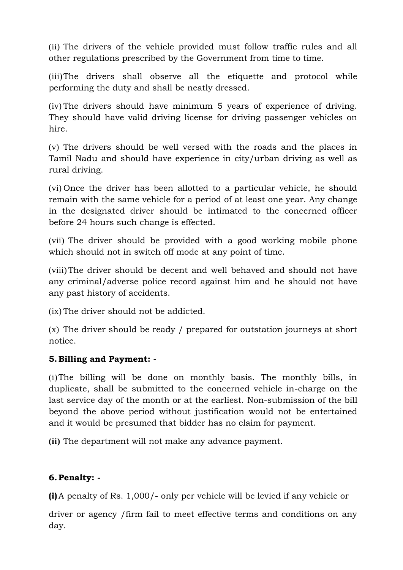(ii) The drivers of the vehicle provided must follow traffic rules and all other regulations prescribed by the Government from time to time.

(iii)The drivers shall observe all the etiquette and protocol while performing the duty and shall be neatly dressed.

(iv) The drivers should have minimum 5 years of experience of driving. They should have valid driving license for driving passenger vehicles on hire.

(v) The drivers should be well versed with the roads and the places in Tamil Nadu and should have experience in city/urban driving as well as rural driving.

(vi) Once the driver has been allotted to a particular vehicle, he should remain with the same vehicle for a period of at least one year. Any change in the designated driver should be intimated to the concerned officer before 24 hours such change is effected.

(vii) The driver should be provided with a good working mobile phone which should not in switch off mode at any point of time.

(viii) The driver should be decent and well behaved and should not have any criminal/adverse police record against him and he should not have any past history of accidents.

(ix) The driver should not be addicted.

(x) The driver should be ready / prepared for outstation journeys at short notice.

# **5. Billing and Payment: -**

(i)The billing will be done on monthly basis. The monthly bills, in duplicate, shall be submitted to the concerned vehicle in-charge on the last service day of the month or at the earliest. Non-submission of the bill beyond the above period without justification would not be entertained and it would be presumed that bidder has no claim for payment.

**(ii)** The department will not make any advance payment.

# **6.Penalty: -**

**(i)**A penalty of Rs. 1,000/- only per vehicle will be levied if any vehicle or

driver or agency /firm fail to meet effective terms and conditions on any day.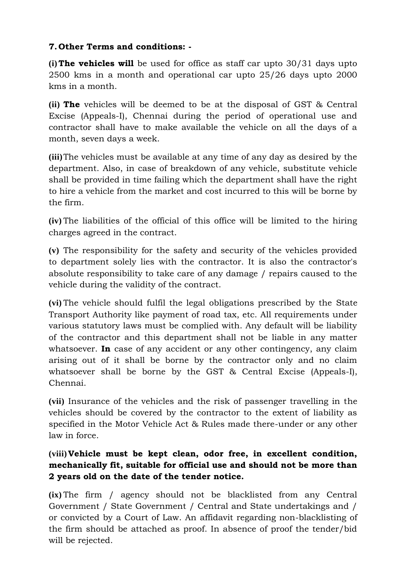# **7. Other Terms and conditions: -**

**(i) The vehicles will** be used for office as staff car upto 30/31 days upto 2500 kms in a month and operational car upto 25/26 days upto 2000 kms in a month.

**(ii) The** vehicles will be deemed to be at the disposal of GST & Central Excise (Appeals-I), Chennai during the period of operational use and contractor shall have to make available the vehicle on all the days of a month, seven days a week.

**(iii)**The vehicles must be available at any time of any day as desired by the department. Also, in case of breakdown of any vehicle, substitute vehicle shall be provided in time failing which the department shall have the right to hire a vehicle from the market and cost incurred to this will be borne by the firm.

**(iv)** The liabilities of the official of this office will be limited to the hiring charges agreed in the contract.

**(v)** The responsibility for the safety and security of the vehicles provided to department solely lies with the contractor. It is also the contractor's absolute responsibility to take care of any damage / repairs caused to the vehicle during the validity of the contract.

**(vi)** The vehicle should fulfil the legal obligations prescribed by the State Transport Authority like payment of road tax, etc. All requirements under various statutory laws must be complied with. Any default will be liability of the contractor and this department shall not be liable in any matter whatsoever. **In** case of any accident or any other contingency, any claim arising out of it shall be borne by the contractor only and no claim whatsoever shall be borne by the GST & Central Excise (Appeals-I), Chennai.

**(vii)** Insurance of the vehicles and the risk of passenger travelling in the vehicles should be covered by the contractor to the extent of liability as specified in the Motor Vehicle Act & Rules made there-under or any other law in force.

# **(viii) Vehicle must be kept clean, odor free, in excellent condition, mechanically fit, suitable for official use and should not be more than 2 years old on the date of the tender notice.**

**(ix)** The firm / agency should not be blacklisted from any Central Government / State Government / Central and State undertakings and / or convicted by a Court of Law. An affidavit regarding non-blacklisting of the firm should be attached as proof. In absence of proof the tender/bid will be rejected.